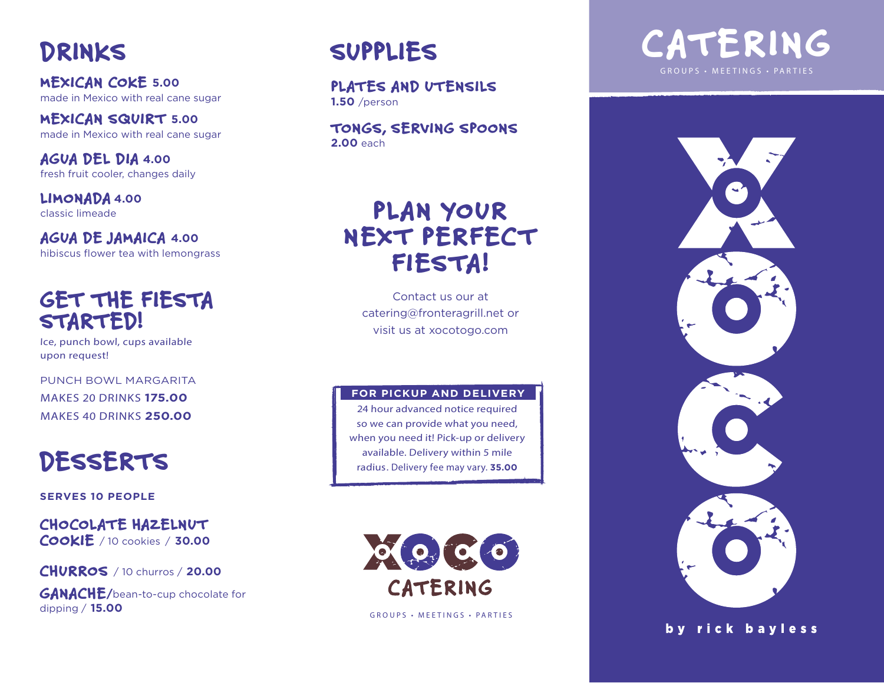# DRINKS

MEXICAN COKE **5.00** made in Mexico with real cane sugar

MEXICAN SQUIRT **5.00** made in Mexico with real cane sugar

AGUA DEL DIA **4.00** fresh fruit cooler, changes daily

LIMONADA **4.00** classic limeade

AGUA DE JAMAICA **4.00** hibiscus flower tea with lemongrass

### GET THE FIESTA STARTED!

Ice, punch bowl, cups available upon request!

PUNCH BOWL MARGARITA MAKES 20 DRINKS **175.00** 

# DESSERTS

**SERVES 10 PEOPLE**

CHOCOLATE HAZELNUT COOKIE / 10 cookies / **30.00**

CHURROS / 10 churros / **20.00**

GANACHE**/**bean-to-cup chocolate for dipping / **15.00**

# SUPPLIES

PLATES AND UTENSILS **1.50** /person

TONGS, SERVING SPOONS **2.00** each

## PLAN YOUR NEXT PERFECT FIESTA!

Contact us our at catering@fronteragrill.net or visit us at xocotogo.com

#### **FOR PICKUP AND DELIVERY**

MAKES 40 DRINKS **250.00** 24 hour advanced notice required so we can provide what you need, when you need it! Pick-up or delivery available. Delivery within 5 mile radius. Delivery fee may vary. **35.00**



GROUPS • MEETINGS • PARTIES





by rick bayless